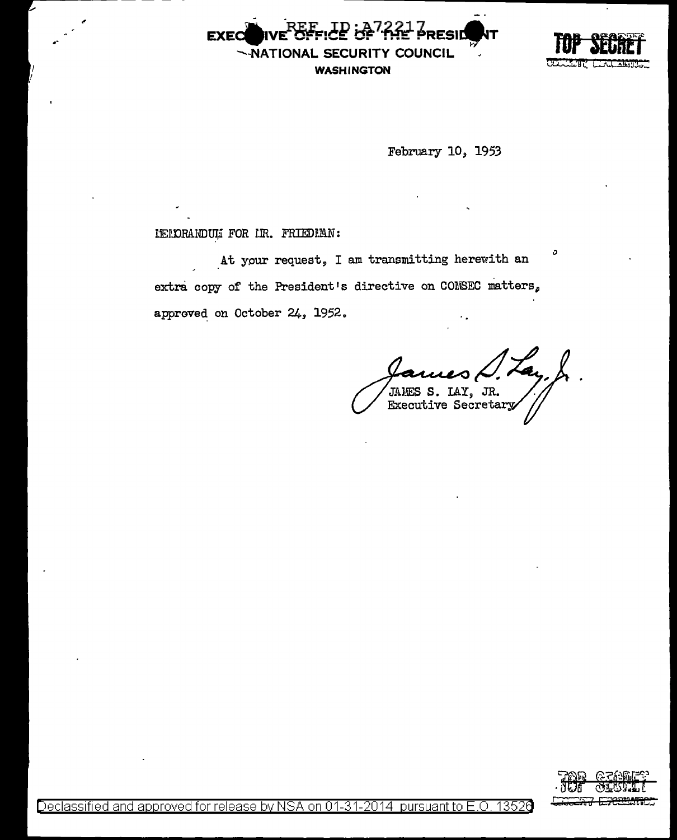PRESID **EXEC** -NATIONAL SECURITY COUNCIL **WASHINGTON** 



February 10, 1953

## IEIDRANDUL FOR IR. FRIEDRAN:

At your request, I am transmitting herewith an extra copy of the President's directive on CONSEC matters, approved on October 24, 1952.

IAMES S. LAY, JR.<br>Executive Secretary

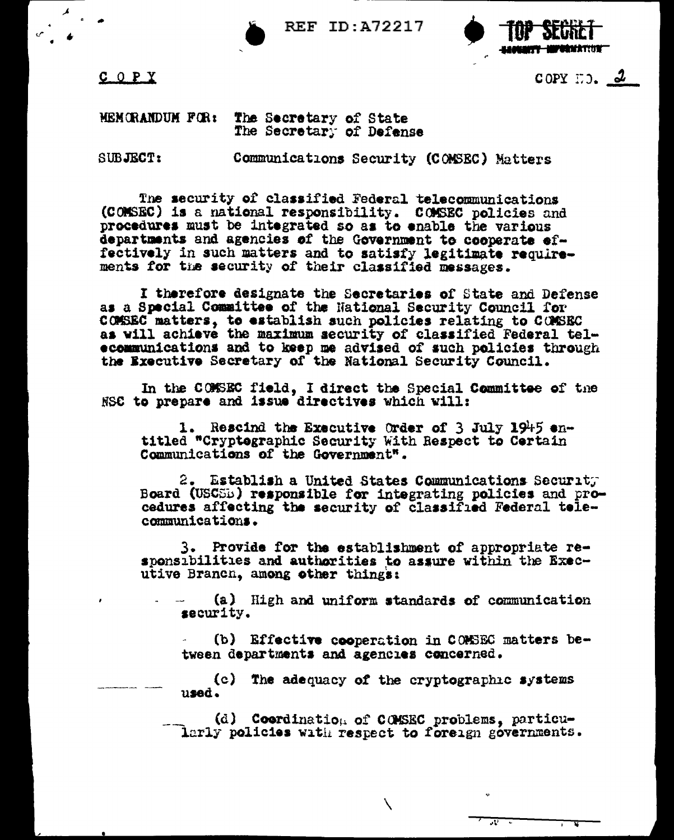**REF ID: A72217** 



 $C$   $O$   $P$   $Y$ 

COPY  $\Box$ ).  $2$ 

## MEMORANDUM FOR: The Secretary of State The Secretary of Defense

SUBJECT:

Communications Security (COMSEC) Matters

The security of classified Federal telecommunications (COMSEC) is a national responsibility. COMSEC policies and procedures must be integrated so as to enable the various departments and agencies of the Government to cooperate effectively in such matters and to satisfy legitimate requirements for the security of their classified messages.

I therefore designate the Secretaries of State and Defense as a Special Committee of the National Security Council for COMSEC matters, to establish such policies relating to COMSEC as will achieve the maximum security of classified Federal telecommunications and to keep me advised of such policies through the Executive Secretary of the National Security Council.

In the COMSEC field, I direct the Special Committee of the NSC to prepare and issue directives which will:

1. Rescind the Executive Order of 3 July 1945 entitled "Cryptegraphic Security With Respect to Certain Communications of the Government".

2. Establish a United States Communications Security Board (USCSB) responsible for integrating policies and procedures affecting the security of classified Federal telecommunications.

3. Provide for the establishment of appropriate responsibilities and authorities to assure within the Executive Branch, among other things:

(a) High and uniform standards of communication security.

(b) Effective cooperation in COMSEC matters between departments and agencies concerned.

रू

(c) The adequacy of the cryptographic systems  $n$ sad.

(d) Coordination of COMSEC problems, particularly policies with respect to foreign governments.